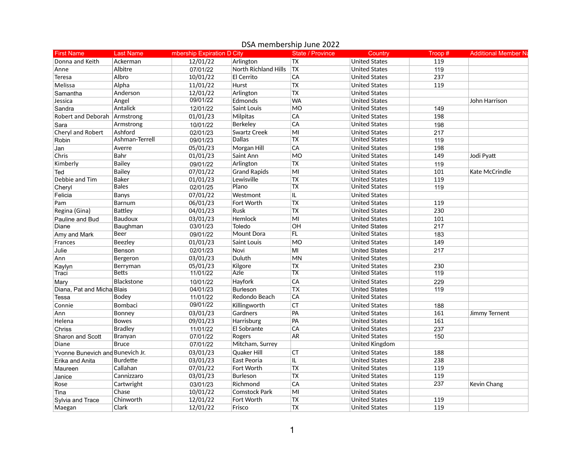## First Name Last Name mbership Expiration D City State / Province Country Troop # Additional Member N Donna and Keith Ackerman 12/01/22 Arlington TX United States 119 Anne Albitre 119 07/01/22 North Richland Hills TX United States 119 Teresa Albro 10/01/22 El Cerrito CA United States 237 Melissa Alpha 11/01/22 Hurst TX United States 119 Samantha Anderson 12/01/22 Arlington TX United States Jessica Angel 09/01/22 Edmonds WA United States John Harrison Sandra Antalick 12/01/22 Saint Louis MO United States 149 Robert and Deborah Armstrong 198 (01/01/23 Milpitas CA United States 198 Sara Armstrong 10/01/22 Berkeley CA United States 198 Cheryl and Robert Ashford 02/01/23 Swartz Creek MI United States 217 Robin Ashman-Terrell 09/01/23 Dallas TX United States 119 Jan Averre 05/01/23 Morgan Hill CA United States 198 Chris Bahr 01/01/23 Saint Ann MO United States 149 Jodi Pyatt Kimberly Bailey 09/01/22 Arlington TX United States 119 Ted Bailey 07/01/22 Grand Rapids MI United States 101 Kate McCrindle Debbie and Tim Baker 01/01/23 Lewisville TX United States 119 Cheryl Bales 02/01/25 Plano TX United States 119 Felicia Banys 07/01/22 Westmont IL United States Pam Barnum 06/01/23 Fort Worth TX United States 119 Regina (Gina) |Battley | 04/01/23 |Rusk |TX United States | 230 Pauline and Bud Baudoux 03/01/23 Hemlock MI United States 101 Diane Baughman 03/01/23 Toledo OH United States 217 Amy and Mark Beer 09/01/22 Mount Dora FL United States 183 Frances Beezley 01/01/23 Saint Louis MO United States 149 Julie Benson 02/01/23 Novi MI United States 217 Ann Bergeron 03/01/23 Duluth MN United States Kaylyn Berryman 05/01/23 Kilgore TX United States 230 Traci Betts 11/01/22 Azle TX United States 119 Mary Blackstone 10/01/22 Hayfork CA United States 229 Diana, Pat and MichaelBlais 04/01/23 Burleson TX United States 119 Tessa Bodey 11/01/22 Redondo Beach CA United States Connie Bombaci 09/01/22 Killingworth CT United States 188 Ann Bonney 03/01/23 Gardners PA United States 161 Jimmy Ternent Helena Bowes 09/01/23 Harrisburg PA United States 161 Chriss Bradley 11/01/22 El Sobrante CA United States 237 Sharon and Scott Branyan 07/01/22 Rogers AR United States 150 Diane Bruce 07/01/22 Mitcham, Surrey United Kingdom Yvonne Bunevich and Bunevich Jr. 188 and Compared Could CH CT and Could CT United States 188 and States 188 Erika and Anita |Burdette 03/01/23 |East Peoria |IL United States 238 Maureen Callahan 07/01/22 Fort Worth TX United States 119 Janice Cannizzaro 03/01/23 Burleson TX United States 119 Rose Cartwright 03/01/23 Richmond CA United States 237 Kevin Chang Tina Chase 10/01/22 Comstock Park MI United States Sylvia and Trace Chinworth 12/01/22 Fort Worth TX United States 119 Maegan Clark 12/01/22 Frisco TX United States 119

## DSA membership June 2022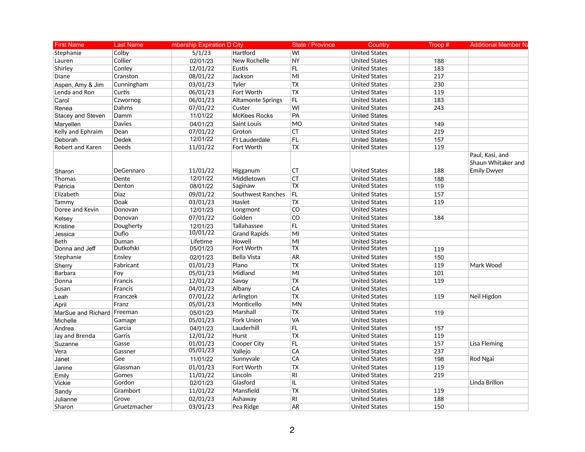| <b>First Name</b>  | <b>Last Name</b> | mbership Expiration D City |                          | <b>State / Province</b> | Country              | Troop# | <b>Additional Member Na</b>                                 |
|--------------------|------------------|----------------------------|--------------------------|-------------------------|----------------------|--------|-------------------------------------------------------------|
| Stephanie          | Colby            | 5/1/23                     | Hartford                 | WI                      | <b>United States</b> |        |                                                             |
| Lauren             | Collier          | 02/01/23                   | New Rochelle             | <b>NY</b>               | <b>United States</b> | 188    |                                                             |
| Shirley            | Conley           | 12/01/22                   | Eustis                   | FL.                     | <b>United States</b> | 183    |                                                             |
| Diane              | Cranston         | 08/01/22                   | Jackson                  | MI                      | <b>United States</b> | 217    |                                                             |
| Aspen, Amy & Jim   | Cunningham       | 03/01/23                   | Tyler                    | <b>TX</b>               | <b>United States</b> | 230    |                                                             |
| Lenda and Ron      | Curtis           | 06/01/23                   | Fort Worth               | <b>TX</b>               | <b>United States</b> | 119    |                                                             |
| Carol              | Czwornog         | 06/01/23                   | <b>Altamonte Springs</b> | <b>FL</b>               | <b>United States</b> | 183    |                                                             |
| Renea              | Dahms            | 07/01/22                   | Custer                   | WI                      | <b>United States</b> | 243    |                                                             |
| Stacey and Steven  | Damm             | 11/01/22                   | <b>McKees Rocks</b>      | PA                      | <b>United States</b> |        |                                                             |
| Maryellen          | <b>Davies</b>    | 04/01/23                   | <b>Saint Louis</b>       | <b>MO</b>               | <b>United States</b> | 149    |                                                             |
| Kelly and Ephraim  | Dean             | 07/01/22                   | Groton                   | <b>CT</b>               | <b>United States</b> | 219    |                                                             |
| Deborah            | Dedek            | 12/01/22                   | Ft Lauderdale            | FL                      | <b>United States</b> | 157    |                                                             |
| Robert and Karen   | Deeds            | 11/01/22                   | Fort Worth               | <b>TX</b>               | <b>United States</b> | 119    |                                                             |
| Sharon             | DeGennaro        | 11/01/22                   | Higganum                 | CT                      | <b>United States</b> | 188    | Paul, Kasi, and<br>Shaun Whitaker and<br><b>Emily Dwyer</b> |
| Thomas             | Dente            | 12/01/22                   | Middletown               | <b>CT</b>               | <b>United States</b> | 188    |                                                             |
| Patricia           | Denton           | 08/01/22                   | Saginaw                  | <b>TX</b>               | <b>United States</b> | 119    |                                                             |
| Elizabeth          | <b>Diaz</b>      | 09/01/22                   | Southwest Ranches        | FL                      | <b>United States</b> | 157    |                                                             |
| Tammy              | Doak             | 03/01/23                   | Haslet                   | <b>TX</b>               | <b>United States</b> | 119    |                                                             |
| Doree and Kevin    | Donovan          | 12/01/23                   | Longmont                 | CO                      | <b>United States</b> |        |                                                             |
| Kelsey             | Donovan          | 07/01/22                   | Golden                   | CO                      | <b>United States</b> | 184    |                                                             |
| Kristine           | Dougherty        | 12/01/23                   | Tallahassee              | FL.                     | <b>United States</b> |        |                                                             |
| Jessica            | Duflo            | 10/01/22                   | <b>Grand Rapids</b>      | M <sub>l</sub>          | <b>United States</b> |        |                                                             |
| <b>Beth</b>        | Duman            | Lifetime                   | Howell                   | MI                      | <b>United States</b> |        |                                                             |
| Donna and Jeff     | Dutkofski        | 05/01/23                   | Fort Worth               | <b>TX</b>               | <b>United States</b> | 119    |                                                             |
| Stephanie          | Ensley           | 02/01/23                   | <b>Bella Vista</b>       | AR                      | <b>United States</b> | 150    |                                                             |
| Sherry             | Fabricant        | 01/01/23                   | Plano                    | <b>TX</b>               | <b>United States</b> | 119    | Mark Wood                                                   |
| <b>Barbara</b>     | Foy              | 05/01/23                   | Midland                  | M <sub>l</sub>          | <b>United States</b> | 101    |                                                             |
| Donna              | Francis          | 12/01/22                   | Savoy                    | <b>TX</b>               | <b>United States</b> | 119    |                                                             |
| Susan              | <b>Francis</b>   | 04/01/23                   | Albany                   | CA                      | <b>United States</b> |        |                                                             |
| Leah               | Franczek         | 07/01/22                   | Arlington                | TX                      | <b>United States</b> | 119    | Neil Higdon                                                 |
| April              | Franz            | 05/01/23                   | Monticello               | MN                      | <b>United States</b> |        |                                                             |
| MarSue and Richard | Freeman          | 05/01/23                   | Marshall                 | <b>TX</b>               | <b>United States</b> | 119    |                                                             |
| Michelle           | Gamage           | 05/01/23                   | <b>Fork Union</b>        | VA                      | <b>United States</b> |        |                                                             |
| Andrea             | Garcia           | 04/01/23                   | Lauderhill               | FL                      | <b>United States</b> | 157    |                                                             |
| Jay and Brenda     | Garris           | 12/01/22                   | Hurst                    | <b>TX</b>               | <b>United States</b> | 119    |                                                             |
| Suzanne            | Gasse            | 01/01/23                   | Cooper City              | FL                      | <b>United States</b> | 157    | <b>Lisa Fleming</b>                                         |
| Vera               | Gassner          | 05/01/23                   | Valleio                  | CA                      | <b>United States</b> | 237    |                                                             |
| Janet              | Gee              | 11/01/22                   | Sunnyvale                | CA                      | <b>United States</b> | 198    | Rod Ngai                                                    |
| Janine             | Glassman         | 01/01/23                   | Fort Worth               | <b>TX</b>               | <b>United States</b> | 119    |                                                             |
| Emily              | Gomes            | 11/01/22                   | Lincoln                  | <b>RI</b>               | <b>United States</b> | 219    |                                                             |
| Vickie             | Gordon           | 02/01/23                   | Glasford                 | IL.                     | <b>United States</b> |        | Linda Brillon                                               |
| Sandy              | Grambort         | 11/01/22                   | Mansfield                | Tx                      | <b>United States</b> | 119    |                                                             |
| Julianne           | Grove            | 02/01/23                   | Ashaway                  | <b>RI</b>               | <b>United States</b> | 188    |                                                             |
| Sharon             | Gruetzmacher     | 03/01/23                   | Pea Ridge                | <b>AR</b>               | <b>United States</b> | 150    |                                                             |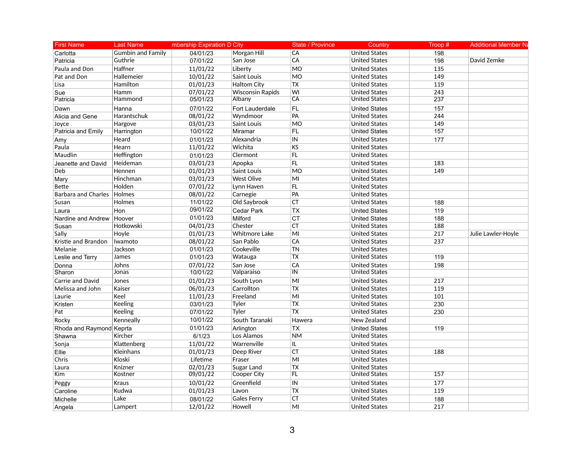| <b>First Name</b>          | <b>Last Name</b>         | mbership Expiration D City |                         | State / Province | Country              | Troop#           | <b>Additional Member Na</b> |
|----------------------------|--------------------------|----------------------------|-------------------------|------------------|----------------------|------------------|-----------------------------|
| Carlotta                   | <b>Gumbin and Family</b> | 04/01/23                   | Morgan Hill             | CA               | <b>United States</b> | 198              |                             |
| Patricia                   | Guthrie                  | 07/01/22                   | San Jose                | CA               | <b>United States</b> | 198              | David Zemke                 |
| Paula and Don              | Haffner                  | 11/01/22                   | Liberty                 | <b>MO</b>        | <b>United States</b> | $\overline{135}$ |                             |
| Pat and Don                | Hallemeier               | 10/01/22                   | Saint Louis             | M <sub>O</sub>   | <b>United States</b> | 149              |                             |
| Lisa                       | Hamilton                 | 01/01/23                   | <b>Haltom City</b>      | <b>TX</b>        | <b>United States</b> | 119              |                             |
| Sue                        | Hamm                     | 07/01/22                   | <b>Wisconsin Rapids</b> | WI               | <b>United States</b> | 243              |                             |
| Patricia                   | Hammond                  | 05/01/23                   | Albany                  | CA               | <b>United States</b> | 237              |                             |
| Dawn                       | Hanna                    | 07/01/22                   | Fort Lauderdale         | FL.              | <b>United States</b> | 157              |                             |
| Alicia and Gene            | Harantschuk              | 08/01/22                   | Wyndmoor                | PA               | <b>United States</b> | 244              |                             |
| Joyce                      | Hargove                  | 03/01/23                   | Saint Louis             | <b>MO</b>        | <b>United States</b> | 149              |                             |
| Patricia and Emily         | Harrington               | 10/01/22                   | Miramar                 | <b>FL</b>        | <b>United States</b> | 157              |                             |
| Amy                        | Heard                    | 01/01/23                   | Alexandria              | IN               | <b>United States</b> | 177              |                             |
| Paula                      | Hearn                    | 11/01/22                   | Wichita                 | KS               | United States        |                  |                             |
| Maudlin                    | Heffington               | 01/01/23                   | Clermont                | FL               | <b>United States</b> |                  |                             |
| Jeanette and David         | Heideman                 | 03/01/23                   | Apopka                  | FL               | <b>United States</b> | 183              |                             |
| Deb                        | Hennen                   | 01/01/23                   | Saint Louis             | MO               | <b>United States</b> | 149              |                             |
| Mary                       | Hinchman                 | 03/01/23                   | <b>West Olive</b>       | MI               | <b>United States</b> |                  |                             |
| Bette                      | Holden                   | 07/01/22                   | Lynn Haven              | FL.              | <b>United States</b> |                  |                             |
| <b>Barbara and Charles</b> | <b>Holmes</b>            | 08/01/22                   | Carnegie                | PA               | <b>United States</b> |                  |                             |
| Susan                      | <b>Holmes</b>            | 11/01/22                   | Old Saybrook            | <b>CT</b>        | <b>United States</b> | 188              |                             |
| Laura                      | Hon                      | 09/01/22                   | Cedar Park              | <b>TX</b>        | <b>United States</b> | 119              |                             |
| Nardine and Andrew         | Hoover                   | 01/01/23                   | Milford                 | <b>CT</b>        | <b>United States</b> | 188              |                             |
| Susan                      | Hotkowski                | 04/01/23                   | Chester                 | <b>CT</b>        | <b>United States</b> | 188              |                             |
| Sally                      | Hoyle                    | 01/01/23                   | <b>Whitmore Lake</b>    | M <sub>l</sub>   | <b>United States</b> | 217              | Julie Lawler-Hoyle          |
| Kristie and Brandon        | Iwamoto                  | 08/01/22                   | San Pablo               | CA               | <b>United States</b> | 237              |                             |
| Melanie                    | Jackson                  | 01/01/23                   | Cookeville              | <b>TN</b>        | <b>United States</b> |                  |                             |
| Leslie and Terry           | James                    | 01/01/23                   | Watauga                 | <b>TX</b>        | <b>United States</b> | 119              |                             |
| Donna                      | Johns                    | 07/01/22                   | San Jose                | CA               | <b>United States</b> | 198              |                             |
| Sharon                     | Jonas                    | 10/01/22                   | Valparaiso              | $\overline{I}$   | <b>United States</b> |                  |                             |
| Carrie and David           | Jones                    | 01/01/23                   | South Lyon              | M <sub>l</sub>   | <b>United States</b> | 217              |                             |
| Melissa and John           | Kaiser                   | 06/01/23                   | Carrollton              | <b>TX</b>        | <b>United States</b> | 119              |                             |
| Laurie                     | Keel                     | 11/01/23                   | Freeland                | MI               | <b>United States</b> | 101              |                             |
| Kristen                    | Keeling                  | 03/01/23                   | Tyler                   | <b>TX</b>        | <b>United States</b> | 230              |                             |
| Pat                        | Keeling                  | 07/01/22                   | Tyler                   | $\overline{TX}$  | <b>United States</b> | 230              |                             |
| Rocky                      | Kenneally                | 10/01/22                   | South Taranaki          | Hawera           | New Zealand          |                  |                             |
| Rhoda and Raymond          | Keprta                   | 01/01/23                   | Arlington               | <b>TX</b>        | <b>United States</b> | 119              |                             |
| Shawna                     | Kircher                  | 6/1/23                     | Los Alamos              | <b>NM</b>        | <b>United States</b> |                  |                             |
| Sonja                      | Klattenberg              | 11/01/22                   | Warrenville             | IL.              | <b>United States</b> |                  |                             |
| Ellie                      | Kleinhans                | 01/01/23                   | Deep River              | <b>CT</b>        | <b>United States</b> | 188              |                             |
| Chris                      | Kloski                   | Lifetime                   | Fraser                  | MI               | <b>United States</b> |                  |                             |
| Laura                      | Knizner                  | 02/01/23                   | Sugar Land              | <b>TX</b>        | <b>United States</b> |                  |                             |
| Kim                        | Kostner                  | 09/01/22                   | <b>Cooper City</b>      | <b>FL</b>        | <b>United States</b> | 157              |                             |
| Peggy                      | Kraus                    | 10/01/22                   | Greenfield              | IN               | <b>United States</b> | 177              |                             |
| Caroline                   | Kudwa                    | 01/01/23                   | Lavon                   | <b>TX</b>        | <b>United States</b> | 119              |                             |
| Michelle                   | Lake                     | 08/01/22                   | <b>Gales Ferry</b>      | <b>CT</b>        | <b>United States</b> | 188              |                             |
| Angela                     | Lampert                  | 12/01/22                   | Howell                  | MI               | <b>United States</b> | 217              |                             |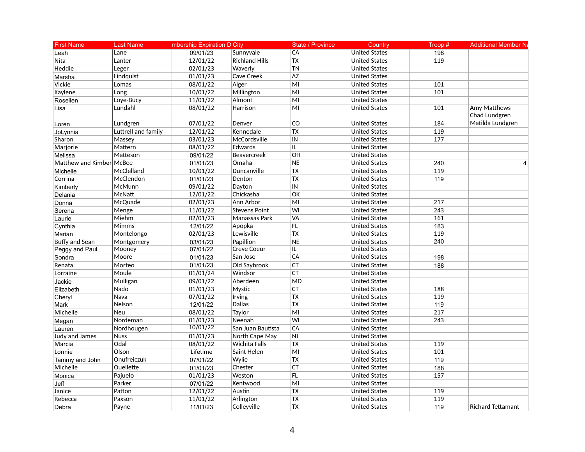| <b>First Name</b>        | <b>Last Name</b>    | mbership Expiration D City |                       | State / Province | Country              | Troop# | <b>Additional Member Na</b> |
|--------------------------|---------------------|----------------------------|-----------------------|------------------|----------------------|--------|-----------------------------|
| Leah                     | Lane                | 09/01/23                   | Sunnyvale             | CA               | <b>United States</b> | 198    |                             |
| Nita                     | Lanter              | 12/01/22                   | <b>Richland Hills</b> | ${\sf TX}$       | <b>United States</b> | 119    |                             |
| Heddie                   | Leger               | 02/01/23                   | Waverly               | <b>TN</b>        | <b>United States</b> |        |                             |
| Marsha                   | Lindquist           | 01/01/23                   | Cave Creek            | <b>AZ</b>        | <b>United States</b> |        |                             |
| Vickie                   | Lomas               | 08/01/22                   | Alger                 | MI               | <b>United States</b> | 101    |                             |
| Kaylene                  | Long                | 10/01/22                   | Millington            | MI               | <b>United States</b> | 101    |                             |
| Rosellen                 | Loye-Bucy           | 11/01/22                   | Almont                | M <sub>l</sub>   | <b>United States</b> |        |                             |
| Lisa                     | Lundahl             | 08/01/22                   | Harrison              | MI               | <b>United States</b> | 101    | Amy Matthews                |
|                          |                     |                            |                       |                  |                      |        | Chad Lundgren               |
| Loren                    | Lundgren            | 07/01/22                   | Denver                | CO               | <b>United States</b> | 184    | Matilda Lundgren            |
| JoLynnia                 | Luttrell and family | 12/01/22                   | Kennedale             | <b>TX</b>        | <b>United States</b> | 119    |                             |
| Sharon                   | Massey              | 03/01/23                   | McCordsville          | IN               | <b>United States</b> | 177    |                             |
| Marjorie                 | Mattern             | 08/01/22                   | Edwards               | IL.              | <b>United States</b> |        |                             |
| Melissa                  | Matteson            | 09/01/22                   | Beavercreek           | OH               | <b>United States</b> |        |                             |
| Matthew and Kimber McBee |                     | 01/01/23                   | Omaha                 | <b>NE</b>        | <b>United States</b> | 240    | $\overline{4}$              |
| Michelle                 | McClelland          | 10/01/22                   | Duncanville           | <b>TX</b>        | <b>United States</b> | 119    |                             |
| Corrina                  | McClendon           | 01/01/23                   | Denton                | <b>TX</b>        | <b>United States</b> | 119    |                             |
| Kimberly                 | McMunn              | 09/01/22                   | Dayton                | IN               | <b>United States</b> |        |                             |
| Delania                  | <b>McNatt</b>       | 12/01/22                   | Chickasha             | OK               | <b>United States</b> |        |                             |
| Donna                    | McQuade             | 02/01/23                   | Ann Arbor             | MI               | <b>United States</b> | 217    |                             |
| Serena                   | Menge               | 11/01/22                   | <b>Stevens Point</b>  | WI               | <b>United States</b> | 243    |                             |
| Laurie                   | Miehm               | 02/01/23                   | Manassas Park         | <b>VA</b>        | <b>United States</b> | 161    |                             |
| Cynthia                  | Mimms               | 12/01/22                   | Apopka                | FL               | <b>United States</b> | 183    |                             |
| Marian                   | Montelongo          | 02/01/23                   | Lewisville            | <b>TX</b>        | <b>United States</b> | 119    |                             |
| Buffy and Sean           | Montgomery          | 03/01/23                   | Papillion             | <b>NE</b>        | <b>United States</b> | 240    |                             |
| Peggy and Paul           | Mooney              | 07/01/22                   | <b>Creve Coeur</b>    | IL.              | <b>United States</b> |        |                             |
| Sondra                   | Moore               | 01/01/23                   | San Jose              | CA               | <b>United States</b> | 198    |                             |
| Renata                   | Morteo              | 01/01/23                   | Old Saybrook          | <b>CT</b>        | <b>United States</b> | 188    |                             |
| Lorraine                 | Moule               | 01/01/24                   | Windsor               | <b>CT</b>        | <b>United States</b> |        |                             |
| Jackie                   | Mulligan            | 09/01/22                   | Aberdeen              | <b>MD</b>        | <b>United States</b> |        |                             |
| Elizabeth                | Nado                | 01/01/23                   | Mystic                | <b>CT</b>        | <b>United States</b> | 188    |                             |
| Cheryl                   | Nava                | 07/01/22                   | Irving                | <b>TX</b>        | <b>United States</b> | 119    |                             |
| Mark                     | Nelson              | 12/01/22                   | Dallas                | $\overline{TX}$  | <b>United States</b> | 119    |                             |
| Michelle                 | <b>Neu</b>          | 08/01/22                   | Taylor                | MI               | <b>United States</b> | 217    |                             |
| Megan                    | Nordeman            | 01/01/23                   | Neenah                | WI               | <b>United States</b> | 243    |                             |
| Lauren                   | Nordhougen          | 10/01/22                   | San Juan Bautista     | CA               | <b>United States</b> |        |                             |
| Judy and James           | <b>Nuss</b>         | 01/01/23                   | North Cape May        | <b>NJ</b>        | <b>United States</b> |        |                             |
| Marcia                   | Odal                | 08/01/22                   | <b>Wichita Falls</b>  | <b>TX</b>        | <b>United States</b> | 119    |                             |
| Lonnie                   | Olson               | Lifetime                   | Saint Helen           | M <sub>l</sub>   | <b>United States</b> | 101    |                             |
| Tammy and John           | Onufreiczuk         | 07/01/22                   | Wylie                 | <b>TX</b>        | <b>United States</b> | 119    |                             |
| Michelle                 | Ouellette           | 01/01/23                   | Chester               | CT               | <b>United States</b> | 188    |                             |
| Monica                   | Pajuelo             | 01/01/23                   | Weston                | FL               | <b>United States</b> | 157    |                             |
| Jeff                     | Parker              | 07/01/22                   | Kentwood              | M <sub>l</sub>   | <b>United States</b> |        |                             |
| Janice                   | Patton              | 12/01/22                   | Austin                | $\overline{TX}$  | <b>United States</b> | 119    |                             |
| Rebecca                  | Paxson              | 11/01/22                   | Arlington             | <b>TX</b>        | <b>United States</b> | 119    |                             |
| Debra                    | Payne               | 11/01/23                   | Colleyville           | <b>TX</b>        | <b>United States</b> | 119    | <b>Richard Tettamant</b>    |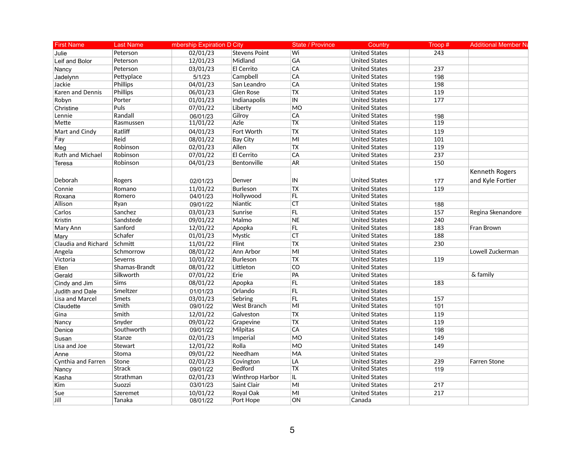| <b>First Name</b>   | <b>Last Name</b> | mbership Expiration D City |                      | State / Province | Country              | Troop# | <b>Additional Member Na</b> |
|---------------------|------------------|----------------------------|----------------------|------------------|----------------------|--------|-----------------------------|
| Julie               | Peterson         | 02/01/23                   | <b>Stevens Point</b> | Wi               | <b>United States</b> | 243    |                             |
| Leif and Bolor      | Peterson         | 12/01/23                   | Midland              | GA               | <b>United States</b> |        |                             |
| Nancy               | Peterson         | 03/01/23                   | El Cerrito           | CA               | <b>United States</b> | 237    |                             |
| Jadelynn            | Pettyplace       | 5/1/23                     | Campbell             | CA               | <b>United States</b> | 198    |                             |
| Jackie              | Phillips         | 04/01/23                   | San Leandro          | CA               | <b>United States</b> | 198    |                             |
| Karen and Dennis    | <b>Phillips</b>  | 06/01/23                   | <b>Glen Rose</b>     | <b>TX</b>        | <b>United States</b> | 119    |                             |
| Robyn               | Porter           | 01/01/23                   | Indianapolis         | IN               | <b>United States</b> | 177    |                             |
| Christine           | Puls             | 07/01/22                   | Liberty              | <b>MO</b>        | <b>United States</b> |        |                             |
| Lennie              | Randall          | 06/01/23                   | Gilroy               | CA               | <b>United States</b> | 198    |                             |
| <b>Mette</b>        | Rasmussen        | 11/01/22                   | Azle                 | TX               | <b>United States</b> | 119    |                             |
| Mart and Cindy      | Ratliff          | 04/01/23                   | Fort Worth           | $\overline{TX}$  | <b>United States</b> | 119    |                             |
| Fay                 | Reid             | 08/01/22                   | <b>Bay City</b>      | MI               | <b>United States</b> | 101    |                             |
| Meg                 | Robinson         | 02/01/23                   | Allen                | <b>TX</b>        | <b>United States</b> | 119    |                             |
| Ruth and Michael    | Robinson         | 07/01/22                   | El Cerrito           | CA               | <b>United States</b> | 237    |                             |
| Teresa              | Robinson         | 04/01/23                   | Bentonville          | <b>AR</b>        | <b>United States</b> | 150    |                             |
|                     |                  |                            |                      |                  |                      |        | Kenneth Rogers              |
| Deborah             | Rogers           | 02/01/23                   | Denver               | IN               | <b>United States</b> | 177    | and Kyle Fortier            |
| Connie              | Romano           | 11/01/22                   | <b>Burleson</b>      | <b>TX</b>        | <b>United States</b> | 119    |                             |
| Roxana              | Romero           | 04/01/23                   | Hollywood            | FL.              | <b>United States</b> |        |                             |
| Allison             | Ryan             | 09/01/22                   | Niantic              | <b>CT</b>        | <b>United States</b> | 188    |                             |
| Carlos              | Sanchez          | 03/01/23                   | Sunrise              | FL               | <b>United States</b> | 157    | Regina Skenandore           |
| Kristin             | Sandstede        | 09/01/22                   | Malmo                | <b>NE</b>        | <b>United States</b> | 240    |                             |
| Mary Ann            | Sanford          | 12/01/22                   | Apopka               | FL               | <b>United States</b> | 183    | Fran Brown                  |
| Mary                | Schafer          | 01/01/23                   | Mystic               | CT               | <b>United States</b> | 188    |                             |
| Claudia and Richard | Schmitt          | 11/01/22                   | Flint                | <b>TX</b>        | <b>United States</b> | 230    |                             |
| Angela              | Schmorrow        | 08/01/22                   | Ann Arbor            | MI               | <b>United States</b> |        | Lowell Zuckerman            |
| Victoria            | Severns          | 10/01/22                   | Burleson             | TX               | <b>United States</b> | 119    |                             |
| Ellen               | Shamas-Brandt    | 08/01/22                   | Littleton            | CO               | <b>United States</b> |        |                             |
| Gerald              | Silkworth        | 07/01/22                   | Erie                 | PA               | <b>United States</b> |        | & family                    |
| Cindy and Jim       | Sims             | 08/01/22                   | Apopka               | FL               | <b>United States</b> | 183    |                             |
| Judith and Dale     | Smeltzer         | 01/01/23                   | Orlando              | FL               | <b>United States</b> |        |                             |
| Lisa and Marcel     | Smets            | 03/01/23                   | Sebring              | FL               | <b>United States</b> | 157    |                             |
| Claudette           | Smith            | 09/01/22                   | West Branch          | MI               | <b>United States</b> | 101    |                             |
| Gina                | Smith            | 12/01/22                   | Galveston            | <b>TX</b>        | <b>United States</b> | 119    |                             |
| Nancy               | Snyder           | 09/01/22                   | Grapevine            | $\overline{TX}$  | <b>United States</b> | 119    |                             |
| Denice              | Southworth       | 09/01/22                   | Milpitas             | CA               | <b>United States</b> | 198    |                             |
| Susan               | Stanze           | 02/01/23                   | Imperial             | MO               | <b>United States</b> | 149    |                             |
| Lisa and Joe        | Stewart          | 12/01/22                   | Rolla                | <b>MO</b>        | <b>United States</b> | 149    |                             |
| Anne                | Stoma            | 09/01/22                   | Needham              | MA               | <b>United States</b> |        |                             |
| Cynthia and Farren  | Stone            | 02/01/23                   | Covington            | LA               | <b>United States</b> | 239    | Farren Stone                |
| Nancy               | <b>Strack</b>    | 09/01/22                   | <b>Bedford</b>       | <b>TX</b>        | <b>United States</b> | 119    |                             |
| Kasha               | Strathman        | 02/01/23                   | Winthrop Harbor      | IL.              | <b>United States</b> |        |                             |
| Kim                 | Suozzi           | 03/01/23                   | Saint Clair          | MI               | <b>United States</b> | 217    |                             |
| Sue                 | Szeremet         | 10/01/22                   | Royal Oak            | MI               | <b>United States</b> | 217    |                             |
| Jill                | Tanaka           | 08/01/22                   | Port Hope            | ON               | Canada               |        |                             |
|                     |                  |                            |                      |                  |                      |        |                             |